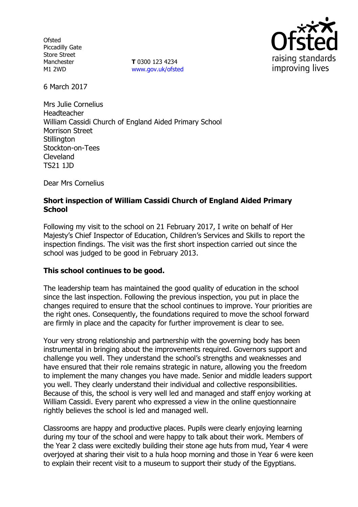**Ofsted** Piccadilly Gate Store Street Manchester M1 2WD

**T** 0300 123 4234 www.gov.uk/ofsted



6 March 2017

Mrs Julie Cornelius Headteacher William Cassidi Church of England Aided Primary School Morrison Street **Stillington** Stockton-on-Tees Cleveland TS21 1JD

Dear Mrs Cornelius

## **Short inspection of William Cassidi Church of England Aided Primary School**

Following my visit to the school on 21 February 2017, I write on behalf of Her Majesty's Chief Inspector of Education, Children's Services and Skills to report the inspection findings. The visit was the first short inspection carried out since the school was judged to be good in February 2013.

#### **This school continues to be good.**

The leadership team has maintained the good quality of education in the school since the last inspection. Following the previous inspection, you put in place the changes required to ensure that the school continues to improve. Your priorities are the right ones. Consequently, the foundations required to move the school forward are firmly in place and the capacity for further improvement is clear to see.

Your very strong relationship and partnership with the governing body has been instrumental in bringing about the improvements required. Governors support and challenge you well. They understand the school's strengths and weaknesses and have ensured that their role remains strategic in nature, allowing you the freedom to implement the many changes you have made. Senior and middle leaders support you well. They clearly understand their individual and collective responsibilities. Because of this, the school is very well led and managed and staff enjoy working at William Cassidi. Every parent who expressed a view in the online questionnaire rightly believes the school is led and managed well.

Classrooms are happy and productive places. Pupils were clearly enjoying learning during my tour of the school and were happy to talk about their work. Members of the Year 2 class were excitedly building their stone age huts from mud, Year 4 were overjoyed at sharing their visit to a hula hoop morning and those in Year 6 were keen to explain their recent visit to a museum to support their study of the Egyptians.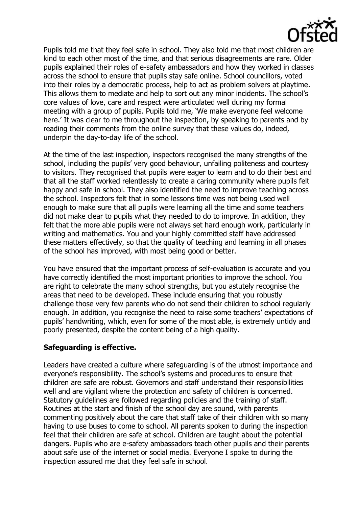

Pupils told me that they feel safe in school. They also told me that most children are kind to each other most of the time, and that serious disagreements are rare. Older pupils explained their roles of e-safety ambassadors and how they worked in classes across the school to ensure that pupils stay safe online. School councillors, voted into their roles by a democratic process, help to act as problem solvers at playtime. This allows them to mediate and help to sort out any minor incidents. The school's core values of love, care and respect were articulated well during my formal meeting with a group of pupils. Pupils told me, 'We make everyone feel welcome here.' It was clear to me throughout the inspection, by speaking to parents and by reading their comments from the online survey that these values do, indeed, underpin the day-to-day life of the school.

At the time of the last inspection, inspectors recognised the many strengths of the school, including the pupils' very good behaviour, unfailing politeness and courtesy to visitors. They recognised that pupils were eager to learn and to do their best and that all the staff worked relentlessly to create a caring community where pupils felt happy and safe in school. They also identified the need to improve teaching across the school. Inspectors felt that in some lessons time was not being used well enough to make sure that all pupils were learning all the time and some teachers did not make clear to pupils what they needed to do to improve. In addition, they felt that the more able pupils were not always set hard enough work, particularly in writing and mathematics. You and your highly committed staff have addressed these matters effectively, so that the quality of teaching and learning in all phases of the school has improved, with most being good or better.

You have ensured that the important process of self-evaluation is accurate and you have correctly identified the most important priorities to improve the school. You are right to celebrate the many school strengths, but you astutely recognise the areas that need to be developed. These include ensuring that you robustly challenge those very few parents who do not send their children to school regularly enough. In addition, you recognise the need to raise some teachers' expectations of pupils' handwriting, which, even for some of the most able, is extremely untidy and poorly presented, despite the content being of a high quality.

# **Safeguarding is effective.**

Leaders have created a culture where safeguarding is of the utmost importance and everyone's responsibility. The school's systems and procedures to ensure that children are safe are robust. Governors and staff understand their responsibilities well and are vigilant where the protection and safety of children is concerned. Statutory guidelines are followed regarding policies and the training of staff. Routines at the start and finish of the school day are sound, with parents commenting positively about the care that staff take of their children with so many having to use buses to come to school. All parents spoken to during the inspection feel that their children are safe at school. Children are taught about the potential dangers. Pupils who are e-safety ambassadors teach other pupils and their parents about safe use of the internet or social media. Everyone I spoke to during the inspection assured me that they feel safe in school.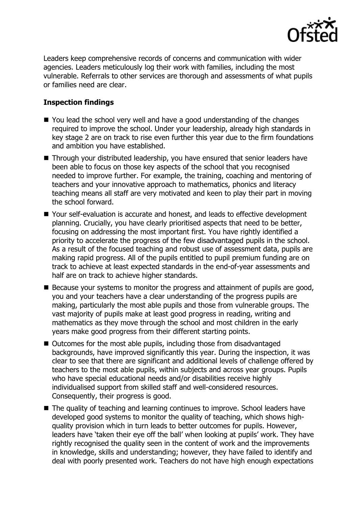

Leaders keep comprehensive records of concerns and communication with wider agencies. Leaders meticulously log their work with families, including the most vulnerable. Referrals to other services are thorough and assessments of what pupils or families need are clear.

## **Inspection findings**

- You lead the school very well and have a good understanding of the changes required to improve the school. Under your leadership, already high standards in key stage 2 are on track to rise even further this year due to the firm foundations and ambition you have established.
- Through your distributed leadership, you have ensured that senior leaders have been able to focus on those key aspects of the school that you recognised needed to improve further. For example, the training, coaching and mentoring of teachers and your innovative approach to mathematics, phonics and literacy teaching means all staff are very motivated and keen to play their part in moving the school forward.
- Your self-evaluation is accurate and honest, and leads to effective development planning. Crucially, you have clearly prioritised aspects that need to be better, focusing on addressing the most important first. You have rightly identified a priority to accelerate the progress of the few disadvantaged pupils in the school. As a result of the focused teaching and robust use of assessment data, pupils are making rapid progress. All of the pupils entitled to pupil premium funding are on track to achieve at least expected standards in the end-of-year assessments and half are on track to achieve higher standards.
- Because your systems to monitor the progress and attainment of pupils are good, you and your teachers have a clear understanding of the progress pupils are making, particularly the most able pupils and those from vulnerable groups. The vast majority of pupils make at least good progress in reading, writing and mathematics as they move through the school and most children in the early years make good progress from their different starting points.
- Outcomes for the most able pupils, including those from disadvantaged backgrounds, have improved significantly this year. During the inspection, it was clear to see that there are significant and additional levels of challenge offered by teachers to the most able pupils, within subjects and across year groups. Pupils who have special educational needs and/or disabilities receive highly individualised support from skilled staff and well-considered resources. Consequently, their progress is good.
- The quality of teaching and learning continues to improve. School leaders have developed good systems to monitor the quality of teaching, which shows highquality provision which in turn leads to better outcomes for pupils. However, leaders have 'taken their eye off the ball' when looking at pupils' work. They have rightly recognised the quality seen in the content of work and the improvements in knowledge, skills and understanding; however, they have failed to identify and deal with poorly presented work. Teachers do not have high enough expectations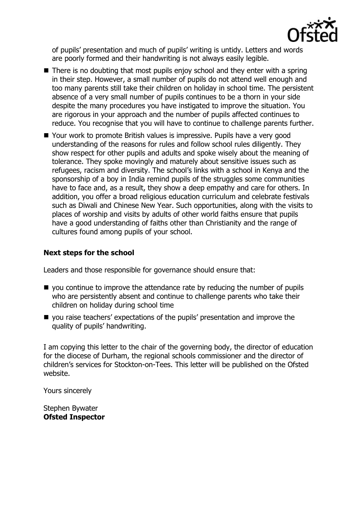

of pupils' presentation and much of pupils' writing is untidy. Letters and words are poorly formed and their handwriting is not always easily legible.

- $\blacksquare$  There is no doubting that most pupils enjoy school and they enter with a spring in their step. However, a small number of pupils do not attend well enough and too many parents still take their children on holiday in school time. The persistent absence of a very small number of pupils continues to be a thorn in your side despite the many procedures you have instigated to improve the situation. You are rigorous in your approach and the number of pupils affected continues to reduce. You recognise that you will have to continue to challenge parents further.
- Your work to promote British values is impressive. Pupils have a very good understanding of the reasons for rules and follow school rules diligently. They show respect for other pupils and adults and spoke wisely about the meaning of tolerance. They spoke movingly and maturely about sensitive issues such as refugees, racism and diversity. The school's links with a school in Kenya and the sponsorship of a boy in India remind pupils of the struggles some communities have to face and, as a result, they show a deep empathy and care for others. In addition, you offer a broad religious education curriculum and celebrate festivals such as Diwali and Chinese New Year. Such opportunities, along with the visits to places of worship and visits by adults of other world faiths ensure that pupils have a good understanding of faiths other than Christianity and the range of cultures found among pupils of your school.

## **Next steps for the school**

Leaders and those responsible for governance should ensure that:

- you continue to improve the attendance rate by reducing the number of pupils who are persistently absent and continue to challenge parents who take their children on holiday during school time
- you raise teachers' expectations of the pupils' presentation and improve the quality of pupils' handwriting.

I am copying this letter to the chair of the governing body, the director of education for the diocese of Durham, the regional schools commissioner and the director of children's services for Stockton-on-Tees. This letter will be published on the Ofsted website.

Yours sincerely

Stephen Bywater **Ofsted Inspector**